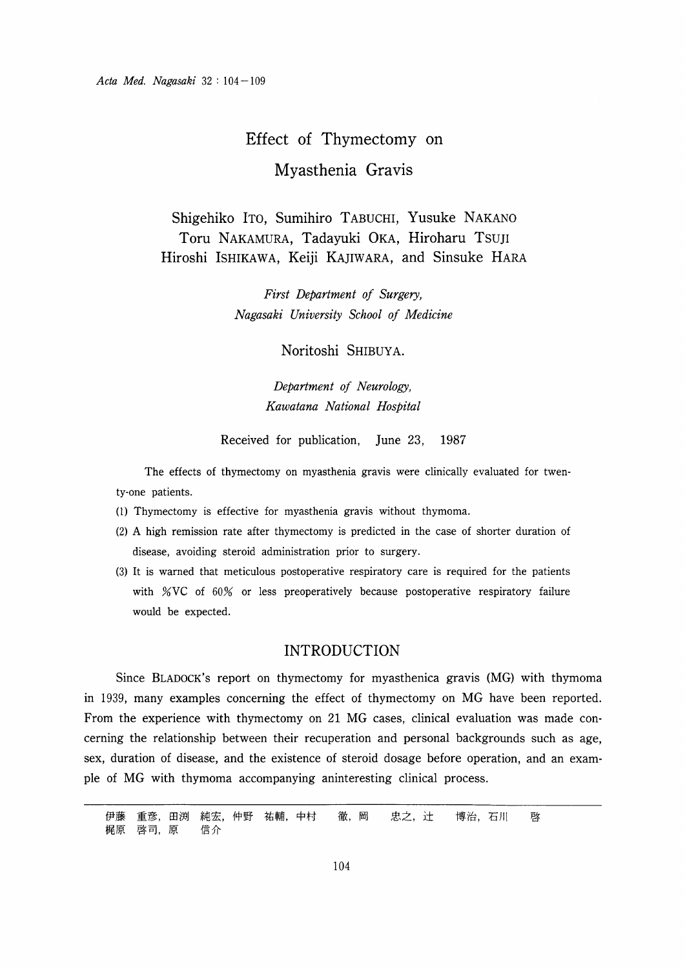# Effect of Thymectomy on-Myasthenia Gravis

Shigehiko ITo, Sumihiro TABUCHI, Yusuke NAKANO Toru NAKAMURA, Tadayuki OKA, Hiroharu Tsuji Hiroshi ISHIKAWA, Keiji KAJIWARA, and Sinsuke HARA

> First Department of Surgery, Nagasaki University School of Medicine

> > Noritoshi SHIBUYA.

Department of Neurology, Kawatana National Hospital

Received for publication, June 23, 1987

The effects of thymectomy on myasthenia gravis were clinically evaluated for twenty-one patients.

- (1) Thymectomy is effective for myasthenia gravis without thymoma.
- (2) A high remission rate after thymectomy is predicted in the case of shorter duration of disease, avoiding steroid administration prior to surgery.
- (3) It is warned that meticulous postoperative respiratory care is required for the patients with  $\%$ VC of  $60\%$  or less preoperatively because postoperative respiratory failure would be expected.

## INTRODUCTION

Since BLADOCK'S report on thymectomy for myasthenica gravis (MG) with thymoma in 1939, many examples concerning the effect of thymectomy on MG have been reported. From the experience with thymectomy on 21 MG cases, clinical evaluation was made concerning the relationship between their recuperation and personal backgrounds such as age, sex, duration of disease, and the existence of steroid dosage before operation, and an example of MG with thymoma accompanying aninteresting clinical process.

伊藤 重彦,田渕 純宏,仲野 祐輔,中村 徹,岡 忠之,辻 博治,石川 啓 梶原 啓司,原 信介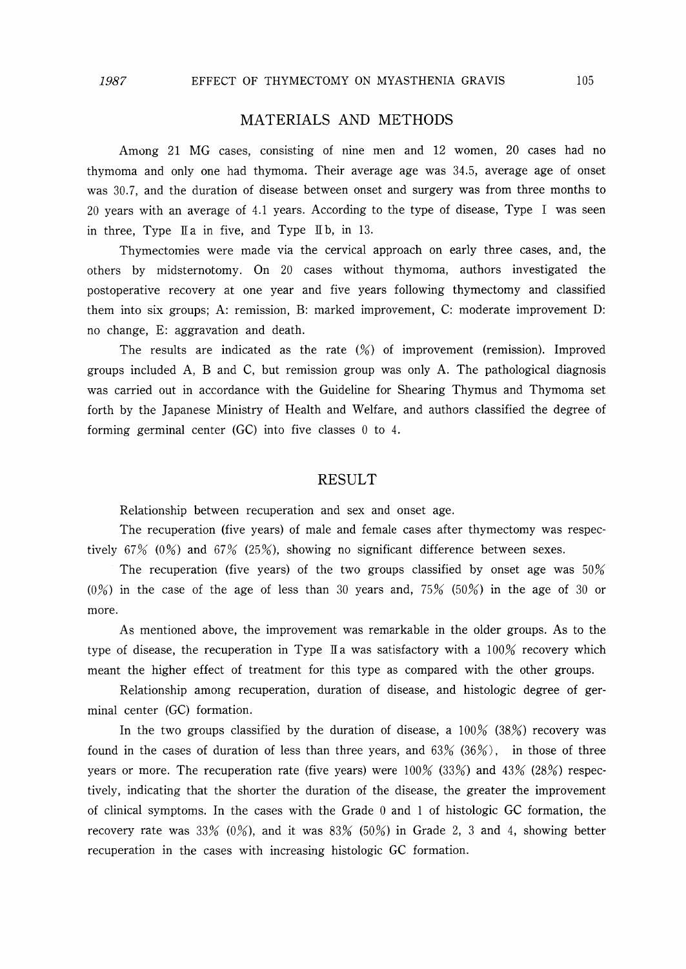# MATERIALS AND METHODS

Among 21 MG cases, consisting of nine men and 12 women, 20 cases had no thymorna and only one had thymorna. Their average age was 34.5, average age of onset was 30.7, and the duration of disease between onset and surgery was from three months to 20 years with an average of 4.1 years. According to the type of disease, Type I was seen in three. Type  $\mathbb{I}$  a in five, and Type  $\mathbb{I}$  b, in 13.

Thymectomies were made via the cervical approach on early three cases, and, the others by midsternotomy. On 20 cases without thymoma, authors investigated the postoperative recovery at one year and five years following thymectomy and classified them into six groups; A: remission, B: marked improvement, C: moderate improvement D: no change, E: aggravation and death.

The results are indicated as the rate (%) of improvement (remission). Improved groups included A, B and C, but remission group was only A. The pathological diagnosis was carried out in accordance with the Guideline for Shearing Thymus and Thymoma set forth by the Japanese Ministry of Health and Welfare, and authors classified the degree of forming germinal center (GC) into five classes O to 4.

## RESULT

Relationship between recuperation and sex and onset age.

The recuperation (five years) of male and female cases after thymectomy was respectively  $67% (0%)$  and  $67% (25%)$ , showing no significant difference between sexes.

The recuperation (five years) of the two groups classified by onset age was  $50\%$  $(0\%)$  in the case of the age of less than 30 years and, 75% (50%) in the age of 30 or more.

As mentioned above, the improvement was remarkable in the older groups. As to the type of disease, the recuperation in Type  $\mathbb{I}$  a was satisfactory with a 100% recovery which meant the higher effect of treatment for this type as compared with the other groups.

Relationship among recuperation, duration of disease, and histologic degree of germinal center (GC) formation.

In the two groups classified by the duration of disease, a  $100\%$  (38%) recovery was found in the cases of duration of less than three years, and  $63\%$  ( $36\%$ ), in those of three years or more. The recuperation rate (five years) were  $100\%$  (33%) and 43% (28%) respectively, indicating that the shorter the duration of the disease, the greater the improvement of clinical symptoms. In the cases with the Grade  $0$  and  $1$  of histologic GC formation, the recovery rate was 33% (0%), and it was  $83\%$  (50%) in Grade 2, 3 and 4, showing better recuperation in the cases with increasing histologic GC formation.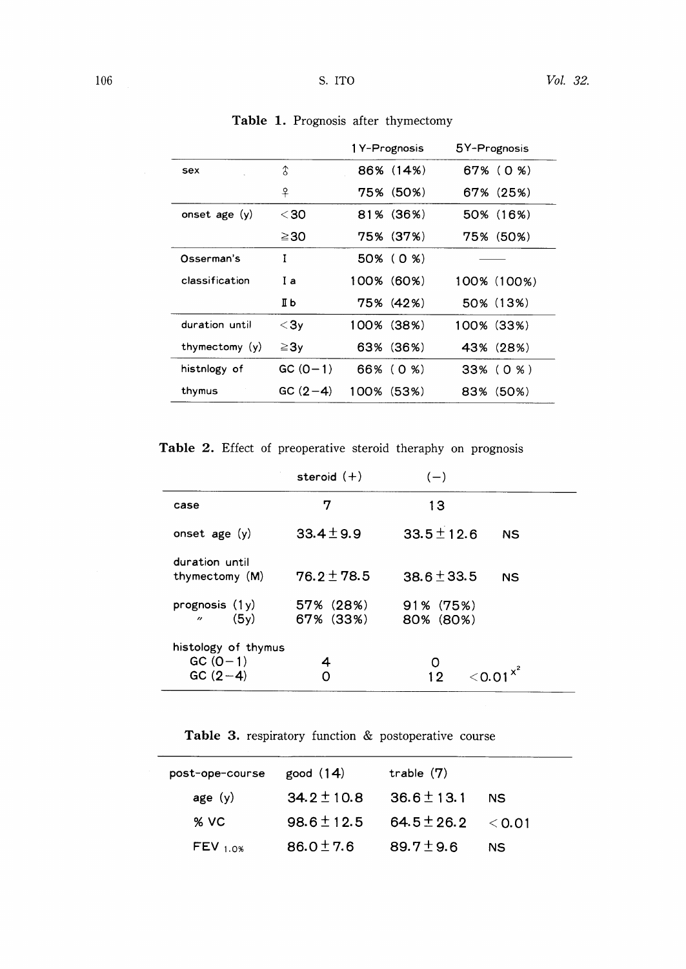|                  |                  | 1 Y-Prognosis | 5Y-Prognosis |
|------------------|------------------|---------------|--------------|
| sex              | 3                | 86% (14%)     | 67% (0 %)    |
|                  | 우                | 75% (50%)     | 67% (25%)    |
| onset age $(y)$  | <30              | 81% (36%)     | 50% (16%)    |
|                  | ≧30              | 75% (37%)     | 75% (50%)    |
| Osserman's       | I                | 50% (0 %)     |              |
| classification   | Ιa               | 100% (60%)    | 100% (100%)  |
|                  | IЬ               | 75% (42%)     | 50% (13%)    |
| duration until   | $<$ 3 $_{\rm V}$ | 100% (38%)    | 100%(33%)    |
| thymectomy $(y)$ | $\geq 3$ y       | 63% (36%)     | 43% (28%)    |
| histnlogy of     | $GC(0-1)$        | 66% (0 %)     | 33% (0 %)    |
| thymus           | $GC(2-4)$        | 100% (53%)    | (50%)<br>83% |
|                  |                  |               |              |

Table 1. Prognosis after thymectom

Table 2. Effect of preoperative steroid theraphy on prognosis

|                                                | steroid $(+)$          | $(-)$                        |
|------------------------------------------------|------------------------|------------------------------|
| case                                           | 7                      | 13                           |
| onset age $(y)$                                | $33.4 \pm 9.9$         | $33.5 \pm 12.6$<br><b>NS</b> |
| duration until<br>thymectomy (M)               | $76.2 + 78.5$          | $38.6 + 33.5$<br><b>NS</b>   |
| prognosis $(1y)$<br>(5v)<br>$^{\prime\prime}$  | 57% (28%)<br>67% (33%) | 91% (75%)<br>80% (80%)       |
| histology of thymus<br>$GC (0-1)$<br>$GC(2-4)$ | 4                      | 12<br>$<$ $\cap$ . $\cap$    |

Table 3. respiratory function  $&$  postoperative course

| post-ope-course | good $(14)$     | trable $(7)$    |             |
|-----------------|-----------------|-----------------|-------------|
| age $(y)$       | 34.2 $\pm$ 10.8 | $36.6 \pm 13.1$ | NS.         |
| $%$ VC          | $98.6 \pm 12.5$ | $64.5 \pm 26.2$ | $\leq$ 0.01 |
| $FEV_{1.0\%}$   | $86.0 \pm 7.6$  | 89.7 $\pm$ 9.6  | NS.         |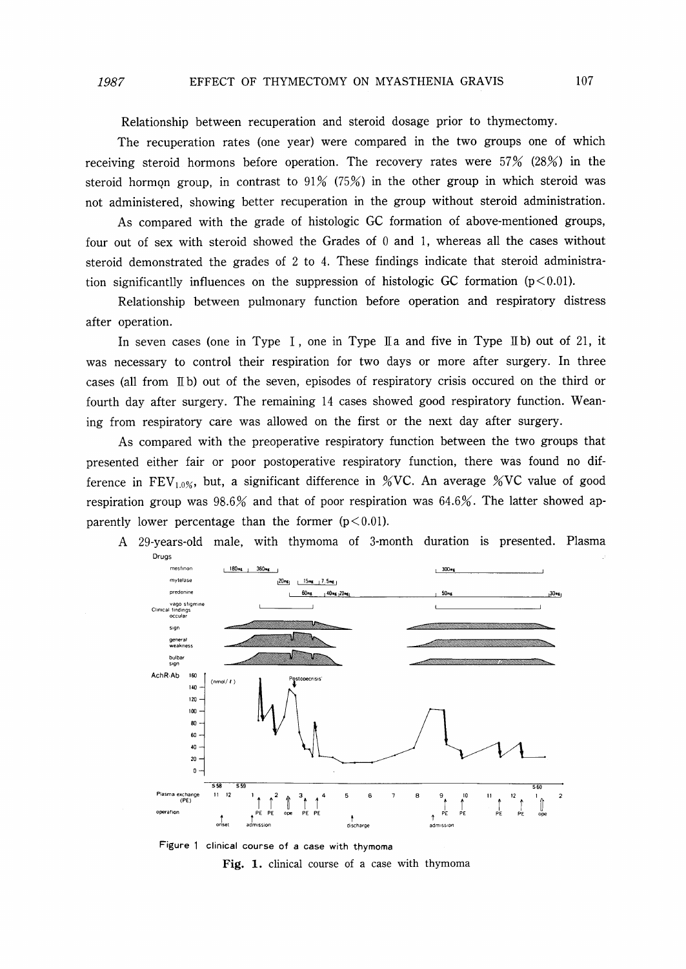Relationship between recuperation and steroid dosage prior to thymectomy.

The recuperation rates (one year) were compared in the two groups one of which receiving steroid hormons before operation. The recovery rates were  $57\%$  (28%) in the steroid hormon group, in contrast to  $91\%$  (75%) in the other group in which steroid was not administered, showing better recuperation in the group without steroid administration.

As compared with the grade of histologic GC formation of above-mentioned groups, four out of sex with steroid showed the Grades of  $0$  and  $1$ , whereas all the cases without steroid demonstrated the grades of 2 to 4. These findings indicate that steroid administration significantlly influences on the suppression of histologic GC formation  $(p<0.01)$ .

Relationship between pulmonary function before operation and respiratory distress after operation.

In seven cases (one in Type I, one in Type II a and five in Type II b) out of 21, it was necessary to control their respiration for two days or more after surgery. In three cases (all from IIb) out of the seven, episodes of respiratory crisis occured on the third or fourth day after surgery. The remaining 14 cases showed good respiratory function. Weaning from respiratory care was allowed on the first or the next day after surgery.

As compared with the preoperative respiratory function between the two groups that presented either fair or poor postoperative respiratory function, there was found no difference in FEV<sub>1.0%</sub>, but, a significant difference in %VC. An average %VC value of good respiration group was  $98.6\%$  and that of poor respiration was  $64.6\%$ . The latter showed apparently lower percentage than the former  $(p<0.01)$ .





Figure 1 clinical course of a case with thymoma Fig. 1. clinical course of a case with thymoma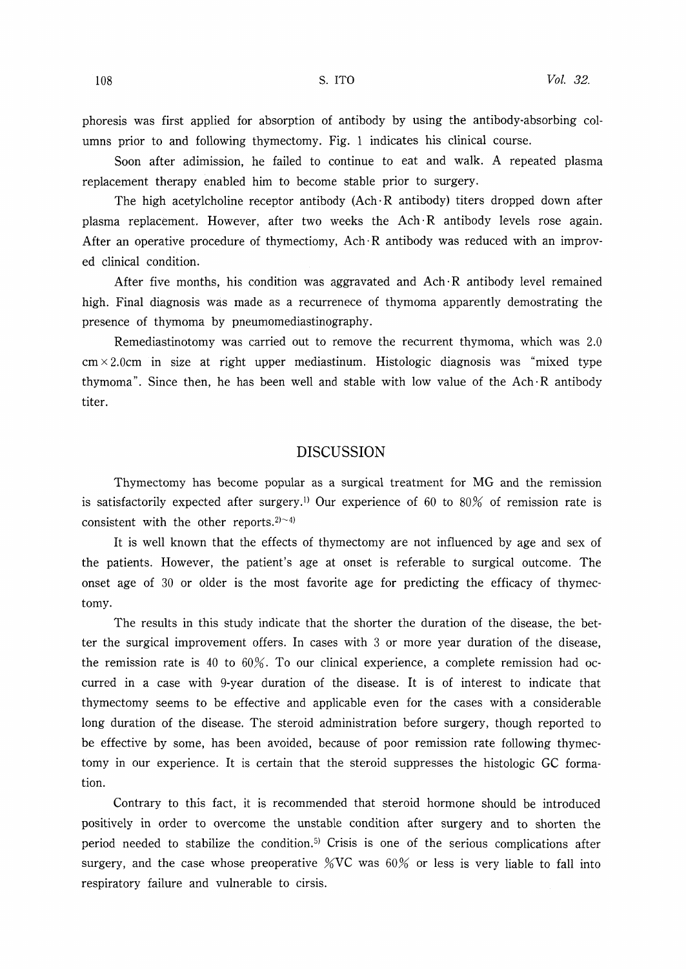phoresis was first applied for absorption of antibody by using the antibody-absorbing columns prior to and following thymectomy. Fig. 1 indicates his clinical course.

Soon after adimission, he failed to continue to eat and walk. A repeated plasma replacement therapy enabled him to become stable prior to surgery.

The high acetylcholine receptor antibody  $(Ach \cdot R$  antibody) titers dropped down after plasma replacement. However, after two weeks the  $Ach \cdot R$  antibody levels rose again. After an operative procedure of thymectiomy, Ach  $\mathbb R$  antibody was reduced with an improved clinical condition.

After five months, his condition was aggravated and  $Ach \cdot R$  antibody level remained high. Final diagnosis was made as a recurrenece of thymoma apparently demostrating the presence of thymoma by pneumomediastinography.

Remediastinotomy was carried out to remove the recurrent thymoma, which was 2.0  $cm \times 2.0cm$  in size at right upper mediastinum. Histologic diagnosis was "mixed type thymoma". Since then, he has been well and stable with low value of the  $Ach \cdot R$  antibody titer.

# DISCUSSION

Thymectomy has become popular as a surgical treatment for MG and the remission is satisfactorily expected after surgery.<sup>1)</sup> Our experience of 60 to 80% of remission rate is consistent with the other reports. $2)$  ~4)

It is well known that the effects of thymectomy are not influenced by age and sex of the patients. However, the patient's age at onset is referable to surgical outcome. The onset age of 30 or older is the most favorite age for predicting the efficacy of thymectomy.

The results in this study indicate that the shorter the duration of the disease, the better the surgical improvement offers. In cases with 3 or more year duration of the disease, the remission rate is 40 to 60%. To our clinical experience, a complete remission had occurred in a case with 9-year duration of the disease. It is of interest to indicate that thymectomy seems to be effective and applicable even for the cases with a considerable 10ng duration of the disease. The steroid administration before surgery, though reported to be effective by some, has been avoided, because of poor rernission rate following thymectorny in our experience. It is certain that the steroid suppresses the histologic GC formation.

Contrary to this fact, it is recommended that steroid hormone should be introduced positively in order to overcome the unstable condition after surgery and to shorten the period needed to stabilize the condition.5) Crisis is one of the serious complications after surgery, and the case whose preoperative  $\%$ VC was 60% or less is very liable to fall into respiratory failure and vulnerable to cirsis.